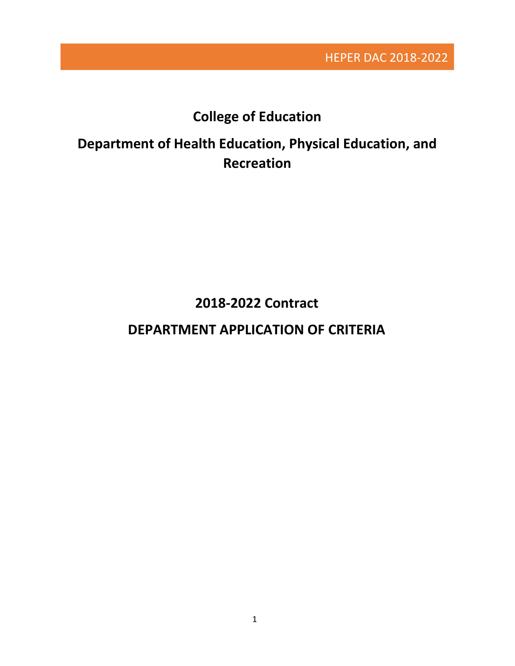HEPER DAC 2018-2022

# **College of Education**

# **Department of Health Education, Physical Education, and Recreation**

**2018-2022 Contract**

# **DEPARTMENT APPLICATION OF CRITERIA**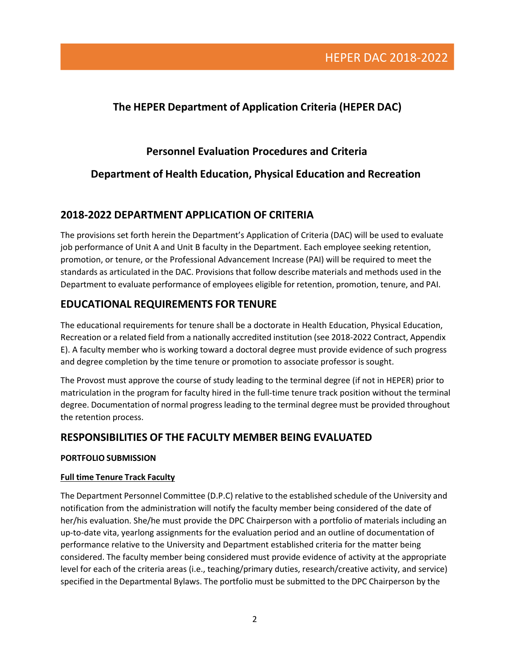### **The HEPER Department of Application Criteria (HEPER DAC)**

### **Personnel Evaluation Procedures and Criteria**

### **Department of Health Education, Physical Education and Recreation**

### **2018-2022 DEPARTMENT APPLICATION OF CRITERIA**

The provisions set forth herein the Department's Application of Criteria (DAC) will be used to evaluate job performance of Unit A and Unit B faculty in the Department. Each employee seeking retention, promotion, or tenure, or the Professional Advancement Increase (PAI) will be required to meet the standards as articulated in the DAC. Provisions that follow describe materials and methods used in the Department to evaluate performance of employees eligible for retention, promotion, tenure, and PAI.

### **EDUCATIONAL REQUIREMENTS FOR TENURE**

The educational requirements for tenure shall be a doctorate in Health Education, Physical Education, Recreation or a related field from a nationally accredited institution (see 2018-2022 Contract, Appendix E). A faculty member who is working toward a doctoral degree must provide evidence of such progress and degree completion by the time tenure or promotion to associate professor is sought.

The Provost must approve the course of study leading to the terminal degree (if not in HEPER) prior to matriculation in the program for faculty hired in the full-time tenure track position without the terminal degree. Documentation of normal progress leading to the terminal degree must be provided throughout the retention process.

### **RESPONSIBILITIES OF THE FACULTY MEMBER BEING EVALUATED**

#### **PORTFOLIO SUBMISSION**

#### **Full time Tenure Track Faculty**

The Department Personnel Committee (D.P.C) relative to the established schedule of the University and notification from the administration will notify the faculty member being considered of the date of her/his evaluation. She/he must provide the DPC Chairperson with a portfolio of materials including an up-to-date vita, yearlong assignments for the evaluation period and an outline of documentation of performance relative to the University and Department established criteria for the matter being considered. The faculty member being considered must provide evidence of activity at the appropriate level for each of the criteria areas (i.e., teaching/primary duties, research/creative activity, and service) specified in the Departmental Bylaws. The portfolio must be submitted to the DPC Chairperson by the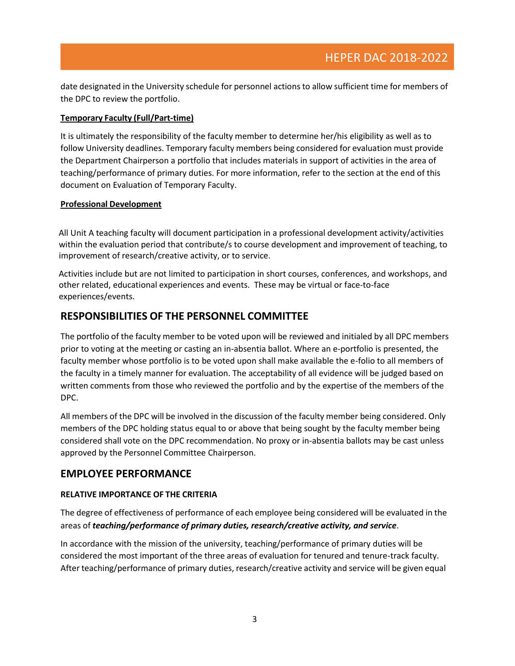date designated in the University schedule for personnel actions to allow sufficient time for members of the DPC to review the portfolio.

#### **Temporary Faculty (Full/Part-time)**

It is ultimately the responsibility of the faculty member to determine her/his eligibility as well as to follow University deadlines. Temporary faculty members being considered for evaluation must provide the Department Chairperson a portfolio that includes materials in support of activities in the area of teaching/performance of primary duties. For more information, refer to the section at the end of this document on Evaluation of Temporary Faculty.

#### **Professional Development**

All Unit A teaching faculty will document participation in a professional development activity/activities within the evaluation period that contribute/s to course development and improvement of teaching, to improvement of research/creative activity, or to service.

Activities include but are not limited to participation in short courses, conferences, and workshops, and other related, educational experiences and events. These may be virtual or face-to-face experiences/events.

### **RESPONSIBILITIES OF THE PERSONNEL COMMITTEE**

The portfolio of the faculty member to be voted upon will be reviewed and initialed by all DPC members prior to voting at the meeting or casting an in-absentia ballot. Where an e-portfolio is presented, the faculty member whose portfolio is to be voted upon shall make available the e-folio to all members of the faculty in a timely manner for evaluation. The acceptability of all evidence will be judged based on written comments from those who reviewed the portfolio and by the expertise of the members of the DPC.

All members of the DPC will be involved in the discussion of the faculty member being considered. Only members of the DPC holding status equal to or above that being sought by the faculty member being considered shall vote on the DPC recommendation. No proxy or in-absentia ballots may be cast unless approved by the Personnel Committee Chairperson.

### **EMPLOYEE PERFORMANCE**

#### **RELATIVE IMPORTANCE OF THE CRITERIA**

The degree of effectiveness of performance of each employee being considered will be evaluated in the areas of *teaching/performance of primary duties, research/creative activity, and service*.

In accordance with the mission of the university, teaching/performance of primary duties will be considered the most important of the three areas of evaluation for tenured and tenure-track faculty. After teaching/performance of primary duties, research/creative activity and service will be given equal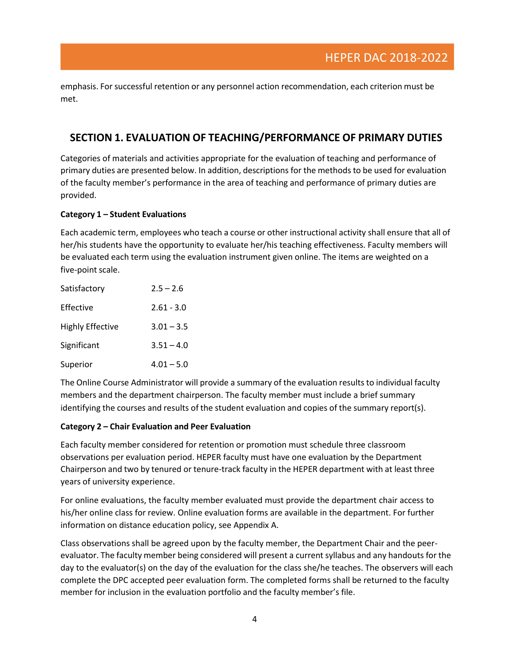emphasis. For successful retention or any personnel action recommendation, each criterion must be met.

### **SECTION 1. EVALUATION OF TEACHING/PERFORMANCE OF PRIMARY DUTIES**

Categories of materials and activities appropriate for the evaluation of teaching and performance of primary duties are presented below. In addition, descriptions for the methods to be used for evaluation of the faculty member's performance in the area of teaching and performance of primary duties are provided.

#### **Category 1 – Student Evaluations**

Each academic term, employees who teach a course or other instructional activity shall ensure that all of her/his students have the opportunity to evaluate her/his teaching effectiveness. Faculty members will be evaluated each term using the evaluation instrument given online. The items are weighted on a five-point scale.

| Satisfactory            | $2.5 - 2.6$  |
|-------------------------|--------------|
| Effective               | $2.61 - 3.0$ |
| <b>Highly Effective</b> | $3.01 - 3.5$ |
| Significant             | $3.51 - 4.0$ |
| Superior                | $4.01 - 5.0$ |

The Online Course Administrator will provide a summary of the evaluation results to individual faculty members and the department chairperson. The faculty member must include a brief summary identifying the courses and results of the student evaluation and copies of the summary report(s).

#### **Category 2 – Chair Evaluation and Peer Evaluation**

Each faculty member considered for retention or promotion must schedule three classroom observations per evaluation period. HEPER faculty must have one evaluation by the Department Chairperson and two by tenured or tenure-track faculty in the HEPER department with at least three years of university experience.

For online evaluations, the faculty member evaluated must provide the department chair access to his/her online class for review. Online evaluation forms are available in the department. For further information on distance education policy, see Appendix A.

Class observations shall be agreed upon by the faculty member, the Department Chair and the peerevaluator. The faculty member being considered will present a current syllabus and any handouts for the day to the evaluator(s) on the day of the evaluation for the class she/he teaches. The observers will each complete the DPC accepted peer evaluation form. The completed forms shall be returned to the faculty member for inclusion in the evaluation portfolio and the faculty member's file.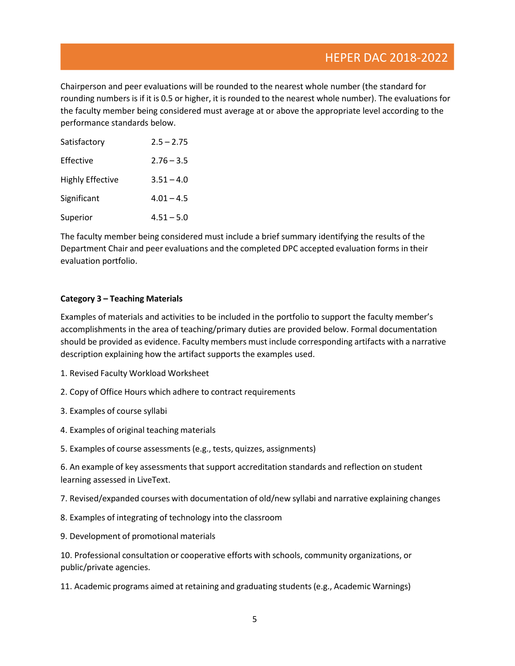Chairperson and peer evaluations will be rounded to the nearest whole number (the standard for rounding numbers is if it is 0.5 or higher, it is rounded to the nearest whole number). The evaluations for the faculty member being considered must average at or above the appropriate level according to the performance standards below.

| Satisfactory     | $2.5 - 2.75$ |
|------------------|--------------|
| Effective        | $2.76 - 3.5$ |
| Highly Effective | $3.51 - 4.0$ |
| Significant      | $4.01 - 4.5$ |
| Superior         | $4.51 - 5.0$ |

The faculty member being considered must include a brief summary identifying the results of the Department Chair and peer evaluations and the completed DPC accepted evaluation forms in their evaluation portfolio.

#### **Category 3 – Teaching Materials**

Examples of materials and activities to be included in the portfolio to support the faculty member's accomplishments in the area of teaching/primary duties are provided below. Formal documentation should be provided as evidence. Faculty members must include corresponding artifacts with a narrative description explaining how the artifact supports the examples used.

- 1. Revised Faculty Workload Worksheet
- 2. Copy of Office Hours which adhere to contract requirements
- 3. Examples of course syllabi
- 4. Examples of original teaching materials
- 5. Examples of course assessments(e.g., tests, quizzes, assignments)

6. An example of key assessments that support accreditation standards and reflection on student learning assessed in LiveText.

7. Revised/expanded courses with documentation of old/new syllabi and narrative explaining changes

- 8. Examples of integrating of technology into the classroom
- 9. Development of promotional materials

10. Professional consultation or cooperative efforts with schools, community organizations, or public/private agencies.

11. Academic programs aimed at retaining and graduating students (e.g., Academic Warnings)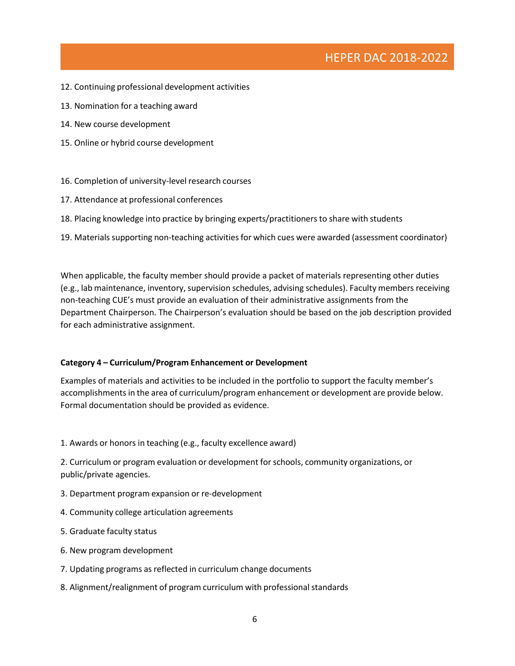- 12. Continuing professional development activities
- 13. Nomination for a teaching award
- 14. New course development
- 15. Online or hybrid course development
- 16. Completion of university-level research courses
- 17. Attendance at professional conferences
- 18. Placing knowledge into practice by bringing experts/practitioners to share with students
- 19. Materials supporting non-teaching activities for which cues were awarded (assessment coordinator)

When applicable, the faculty member should provide a packet of materials representing other duties (e.g., lab maintenance, inventory,supervision schedules, advising schedules). Faculty members receiving non-teaching CUE's must provide an evaluation of their administrative assignments from the Department Chairperson. The Chairperson's evaluation should be based on the job description provided for each administrative assignment.

#### **Category 4 – Curriculum/Program Enhancement or Development**

Examples of materials and activities to be included in the portfolio to support the faculty member's accomplishments in the area of curriculum/program enhancement or development are provide below. Formal documentation should be provided as evidence.

1. Awards or honors in teaching (e.g., faculty excellence award)

2. Curriculum or program evaluation or development forschools, community organizations, or public/private agencies.

- 3. Department program expansion or re-development
- 4. Community college articulation agreements
- 5. Graduate faculty status
- 6. New program development
- 7. Updating programs as reflected in curriculum change documents
- 8. Alignment/realignment of program curriculum with professional standards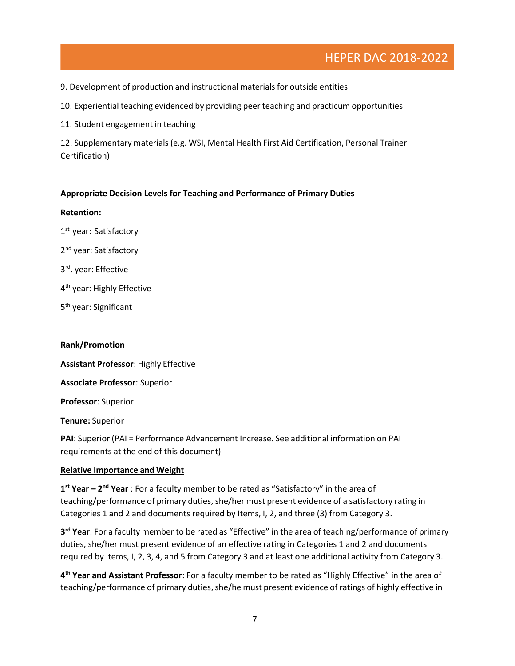9. Development of production and instructional materials for outside entities

10. Experiential teaching evidenced by providing peer teaching and practicum opportunities

11. Student engagement in teaching

12. Supplementary materials (e.g. WSI, Mental Health First Aid Certification, Personal Trainer Certification)

#### **Appropriate Decision Levels for Teaching and Performance of Primary Duties**

#### **Retention:**

1<sup>st</sup> year: Satisfactory

- 2<sup>nd</sup> year: Satisfactory
- 3 rd . year: Effective
- 4<sup>th</sup> year: Highly Effective
- 5<sup>th</sup> year: Significant

#### **Rank/Promotion**

**Assistant Professor**: Highly Effective

**Associate Professor**: Superior

**Professor**: Superior

**Tenure:** Superior

**PAI**: Superior (PAI = Performance Advancement Increase. See additional information on PAI requirements at the end of this document)

#### **Relative Importance and Weight**

**1**<sup>st</sup> Year – 2<sup>nd</sup> Year : For a faculty member to be rated as "Satisfactory" in the area of teaching/performance of primary duties, she/her must present evidence of a satisfactory rating in Categories 1 and 2 and documents required by Items, I, 2, and three (3) from Category 3.

**3 rd Year**: For a faculty member to be rated as "Effective" in the area of teaching/performance of primary duties, she/her must present evidence of an effective rating in Categories 1 and 2 and documents required by Items, I, 2, 3, 4, and 5 from Category 3 and at least one additional activity from Category 3.

**4 th Year and Assistant Professor**: For a faculty member to be rated as "Highly Effective" in the area of teaching/performance of primary duties, she/he must present evidence of ratings of highly effective in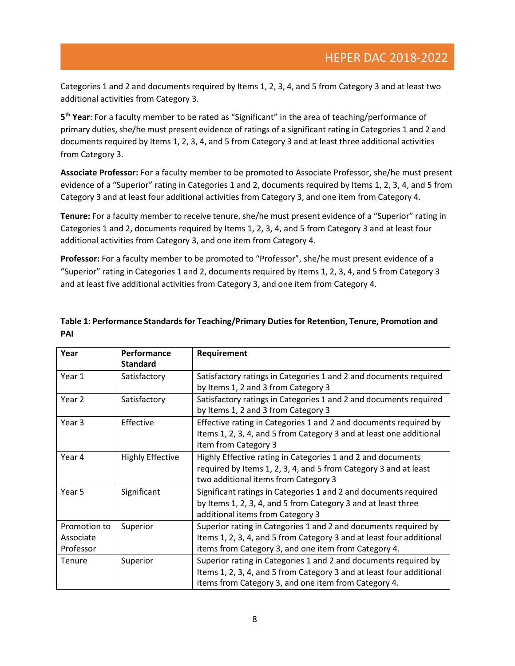Categories 1 and 2 and documents required by Items 1, 2, 3, 4, and 5 from Category 3 and at least two additional activities from Category 3.

**5 th Year**: For a faculty member to be rated as "Significant" in the area of teaching/performance of primary duties, she/he must present evidence of ratings of a significant rating in Categories 1 and 2 and documents required by Items 1, 2, 3, 4, and 5 from Category 3 and at least three additional activities from Category 3.

**Associate Professor:** For a faculty member to be promoted to Associate Professor, she/he must present evidence of a "Superior" rating in Categories 1 and 2, documents required by Items 1, 2, 3, 4, and 5 from Category 3 and at least four additional activities from Category 3, and one item from Category 4.

**Tenure:** For a faculty member to receive tenure, she/he must present evidence of a "Superior" rating in Categories 1 and 2, documents required by Items 1, 2, 3, 4, and 5 from Category 3 and at least four additional activities from Category 3, and one item from Category 4.

**Professor:** For a faculty member to be promoted to "Professor", she/he must present evidence of a "Superior" rating in Categories 1 and 2, documents required by Items 1, 2, 3, 4, and 5 from Category 3 and at least five additional activities from Category 3, and one item from Category 4.

| Year                                   | Performance<br><b>Standard</b> | Requirement                                                                                                                                                                                     |
|----------------------------------------|--------------------------------|-------------------------------------------------------------------------------------------------------------------------------------------------------------------------------------------------|
| Year 1                                 | Satisfactory                   | Satisfactory ratings in Categories 1 and 2 and documents required<br>by Items 1, 2 and 3 from Category 3                                                                                        |
| Year <sub>2</sub>                      | Satisfactory                   | Satisfactory ratings in Categories 1 and 2 and documents required<br>by Items 1, 2 and 3 from Category 3                                                                                        |
| Year <sub>3</sub>                      | Effective                      | Effective rating in Categories 1 and 2 and documents required by<br>Items 1, 2, 3, 4, and 5 from Category 3 and at least one additional<br>item from Category 3                                 |
| Year 4                                 | <b>Highly Effective</b>        | Highly Effective rating in Categories 1 and 2 and documents<br>required by Items 1, 2, 3, 4, and 5 from Category 3 and at least<br>two additional items from Category 3                         |
| Year 5                                 | Significant                    | Significant ratings in Categories 1 and 2 and documents required<br>by Items 1, 2, 3, 4, and 5 from Category 3 and at least three<br>additional items from Category 3                           |
| Promotion to<br>Associate<br>Professor | Superior                       | Superior rating in Categories 1 and 2 and documents required by<br>Items 1, 2, 3, 4, and 5 from Category 3 and at least four additional<br>items from Category 3, and one item from Category 4. |
| Tenure                                 | Superior                       | Superior rating in Categories 1 and 2 and documents required by<br>Items 1, 2, 3, 4, and 5 from Category 3 and at least four additional<br>items from Category 3, and one item from Category 4. |

### **Table 1: Performance Standards for Teaching/Primary Duties for Retention, Tenure, Promotion and PAI**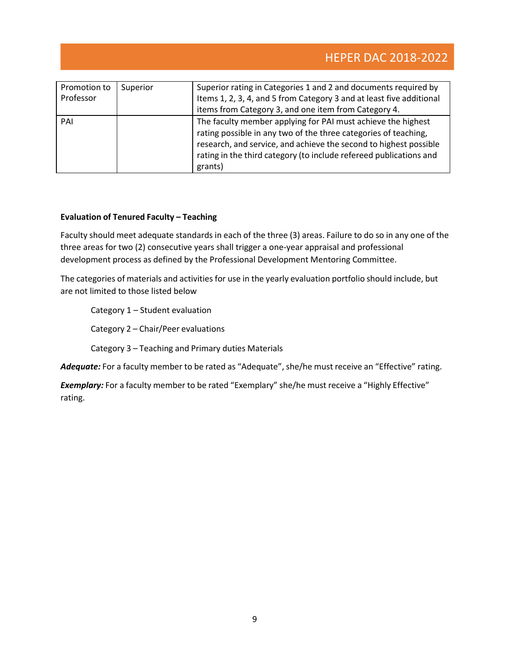| Promotion to<br>Professor | Superior | Superior rating in Categories 1 and 2 and documents required by<br>Items 1, 2, 3, 4, and 5 from Category 3 and at least five additional<br>items from Category 3, and one item from Category 4.                                                                                       |
|---------------------------|----------|---------------------------------------------------------------------------------------------------------------------------------------------------------------------------------------------------------------------------------------------------------------------------------------|
| PAI                       |          | The faculty member applying for PAI must achieve the highest<br>rating possible in any two of the three categories of teaching,<br>research, and service, and achieve the second to highest possible<br>rating in the third category (to include refereed publications and<br>grants) |

#### **Evaluation of Tenured Faculty – Teaching**

Faculty should meet adequate standards in each of the three (3) areas. Failure to do so in any one of the three areas for two (2) consecutive years shall trigger a one-year appraisal and professional development process as defined by the Professional Development Mentoring Committee.

The categories of materials and activities for use in the yearly evaluation portfolio should include, but are not limited to those listed below

Category 1 – Student evaluation

Category 2 – Chair/Peer evaluations

Category 3 – Teaching and Primary duties Materials

Adequate: For a faculty member to be rated as "Adequate", she/he must receive an "Effective" rating.

**Exemplary:** For a faculty member to be rated "Exemplary" she/he must receive a "Highly Effective" rating.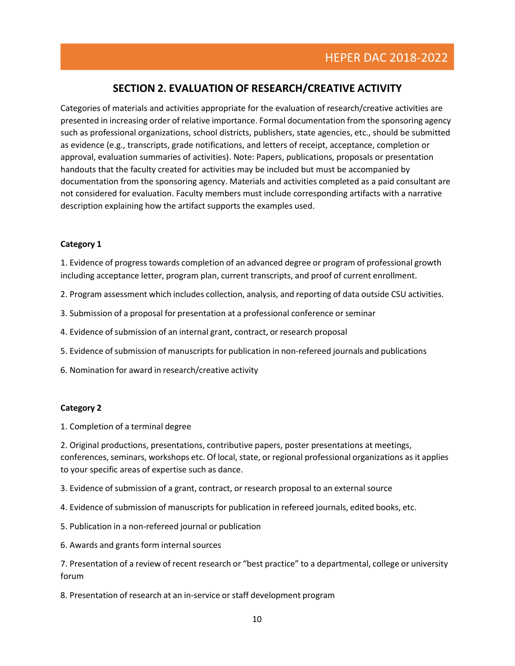### **SECTION 2. EVALUATION OF RESEARCH/CREATIVE ACTIVITY**

Categories of materials and activities appropriate for the evaluation of research/creative activities are presented in increasing order of relative importance. Formal documentation from the sponsoring agency such as professional organizations, school districts, publishers, state agencies, etc., should be submitted as evidence (e.g., transcripts, grade notifications, and letters of receipt, acceptance, completion or approval, evaluation summaries of activities). Note: Papers, publications, proposals or presentation handouts that the faculty created for activities may be included but must be accompanied by documentation from the sponsoring agency. Materials and activities completed as a paid consultant are not considered for evaluation. Faculty members must include corresponding artifacts with a narrative description explaining how the artifact supports the examples used.

#### **Category 1**

1. Evidence of progress towards completion of an advanced degree or program of professional growth including acceptance letter, program plan, current transcripts, and proof of current enrollment.

- 2. Program assessment which includes collection, analysis, and reporting of data outside CSU activities.
- 3. Submission of a proposal for presentation at a professional conference orseminar
- 4. Evidence of submission of an internal grant, contract, or research proposal
- 5. Evidence ofsubmission of manuscripts for publication in non-refereed journals and publications
- 6. Nomination for award in research/creative activity

#### **Category 2**

1. Completion of a terminal degree

2. Original productions, presentations, contributive papers, poster presentations at meetings, conferences, seminars, workshops etc. Of local, state, or regional professional organizations as it applies to your specific areas of expertise such as dance.

3. Evidence of submission of a grant, contract, or research proposal to an external source

- 4. Evidence of submission of manuscripts for publication in refereed journals, edited books, etc.
- 5. Publication in a non-refereed journal or publication
- 6. Awards and grants form internal sources

7. Presentation of a review of recent research or "best practice" to a departmental, college or university forum

8. Presentation of research at an in-service or staff development program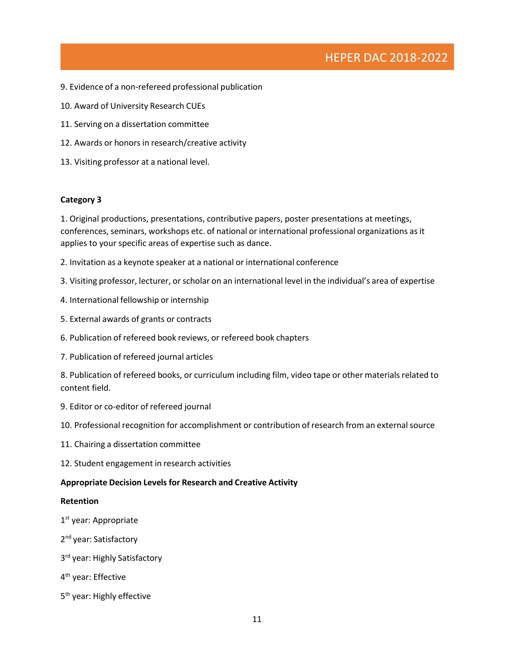- 9. Evidence of a non-refereed professional publication
- 10. Award of University Research CUEs
- 11. Serving on a dissertation committee
- 12. Awards or honors in research/creative activity
- 13. Visiting professor at a national level.

#### **Category 3**

1. Original productions, presentations, contributive papers, poster presentations at meetings, conferences, seminars, workshops etc. of national or international professional organizations as it applies to your specific areas of expertise such as dance.

- 2. Invitation as a keynote speaker at a national or international conference
- 3. Visiting professor, lecturer, or scholar on an international level in the individual's area of expertise
- 4. International fellowship or internship
- 5. External awards of grants or contracts
- 6. Publication of refereed book reviews, or refereed book chapters
- 7. Publication of refereed journal articles

8. Publication of refereed books, or curriculum including film, video tape or other materials related to content field.

- 9. Editor or co-editor of refereed journal
- 10. Professional recognition for accomplishment or contribution of research from an external source
- 11. Chairing a dissertation committee
- 12. Student engagement in research activities

#### **Appropriate Decision Levels for Research and Creative Activity**

#### **Retention**

- 1<sup>st</sup> year: Appropriate
- 2<sup>nd</sup> year: Satisfactory
- 3<sup>rd</sup> year: Highly Satisfactory
- 4<sup>th</sup> year: Effective
- 5<sup>th</sup> year: Highly effective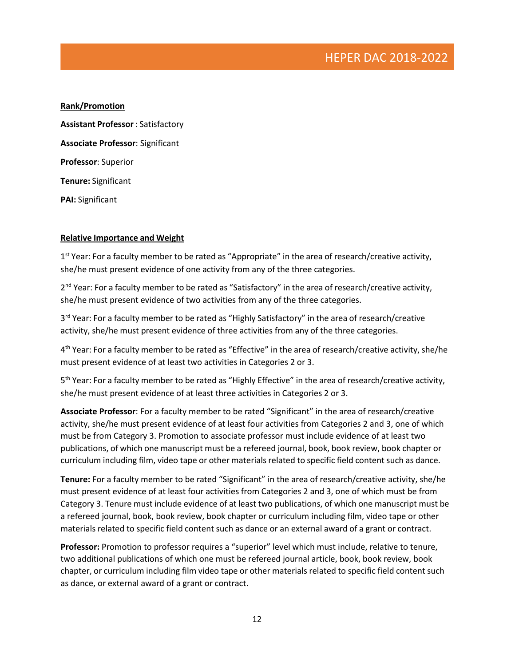**Rank/Promotion Assistant Professor** : Satisfactory **Associate Professor**: Significant **Professor**: Superior **Tenure:** Significant **PAI:** Significant

#### **Relative Importance and Weight**

1<sup>st</sup> Year: For a faculty member to be rated as "Appropriate" in the area of research/creative activity, she/he must present evidence of one activity from any of the three categories.

2<sup>nd</sup> Year: For a faculty member to be rated as "Satisfactory" in the area of research/creative activity, she/he must present evidence of two activities from any of the three categories.

3<sup>rd</sup> Year: For a faculty member to be rated as "Highly Satisfactory" in the area of research/creative activity, she/he must present evidence of three activities from any of the three categories.

4<sup>th</sup> Year: For a faculty member to be rated as "Effective" in the area of research/creative activity, she/he must present evidence of at least two activities in Categories 2 or 3.

5<sup>th</sup> Year: For a faculty member to be rated as "Highly Effective" in the area of research/creative activity, she/he must present evidence of at least three activities in Categories 2 or 3.

**Associate Professor**: For a faculty member to be rated "Significant" in the area of research/creative activity, she/he must present evidence of at least four activities from Categories 2 and 3, one of which must be from Category 3. Promotion to associate professor must include evidence of at least two publications, of which one manuscript must be a refereed journal, book, book review, book chapter or curriculum including film, video tape or other materials related to specific field content such as dance.

**Tenure:** For a faculty member to be rated "Significant" in the area of research/creative activity, she/he must present evidence of at least four activities from Categories 2 and 3, one of which must be from Category 3. Tenure must include evidence of at least two publications, of which one manuscript must be a refereed journal, book, book review, book chapter or curriculum including film, video tape or other materials related to specific field content such as dance or an external award of a grant or contract.

**Professor:** Promotion to professor requires a "superior" level which must include, relative to tenure, two additional publications of which one must be refereed journal article, book, book review, book chapter, or curriculum including film video tape or other materials related to specific field content such as dance, or external award of a grant or contract.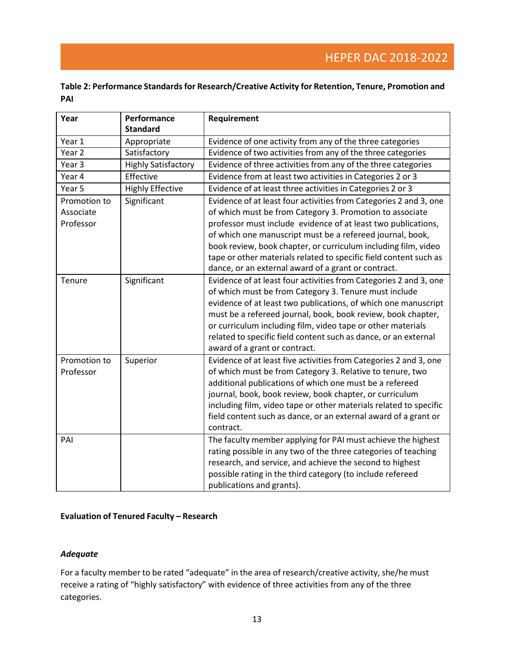### **Table 2: Performance Standards for Research/Creative Activity for Retention, Tenure, Promotion and PAI**

| Year              | Performance<br><b>Standard</b> | Requirement                                                       |
|-------------------|--------------------------------|-------------------------------------------------------------------|
| Year 1            | Appropriate                    | Evidence of one activity from any of the three categories         |
| Year <sub>2</sub> | Satisfactory                   | Evidence of two activities from any of the three categories       |
| Year <sub>3</sub> | <b>Highly Satisfactory</b>     | Evidence of three activities from any of the three categories     |
| Year 4            | Effective                      | Evidence from at least two activities in Categories 2 or 3        |
| Year 5            | <b>Highly Effective</b>        | Evidence of at least three activities in Categories 2 or 3        |
| Promotion to      | Significant                    | Evidence of at least four activities from Categories 2 and 3, one |
| Associate         |                                | of which must be from Category 3. Promotion to associate          |
| Professor         |                                | professor must include evidence of at least two publications,     |
|                   |                                | of which one manuscript must be a refereed journal, book,         |
|                   |                                | book review, book chapter, or curriculum including film, video    |
|                   |                                | tape or other materials related to specific field content such as |
|                   |                                | dance, or an external award of a grant or contract.               |
| Tenure            | Significant                    | Evidence of at least four activities from Categories 2 and 3, one |
|                   |                                | of which must be from Category 3. Tenure must include             |
|                   |                                | evidence of at least two publications, of which one manuscript    |
|                   |                                | must be a refereed journal, book, book review, book chapter,      |
|                   |                                | or curriculum including film, video tape or other materials       |
|                   |                                | related to specific field content such as dance, or an external   |
|                   |                                | award of a grant or contract.                                     |
| Promotion to      | Superior                       | Evidence of at least five activities from Categories 2 and 3, one |
| Professor         |                                | of which must be from Category 3. Relative to tenure, two         |
|                   |                                | additional publications of which one must be a refereed           |
|                   |                                | journal, book, book review, book chapter, or curriculum           |
|                   |                                | including film, video tape or other materials related to specific |
|                   |                                | field content such as dance, or an external award of a grant or   |
|                   |                                | contract.                                                         |
| PAI               |                                | The faculty member applying for PAI must achieve the highest      |
|                   |                                | rating possible in any two of the three categories of teaching    |
|                   |                                | research, and service, and achieve the second to highest          |
|                   |                                | possible rating in the third category (to include refereed        |
|                   |                                | publications and grants).                                         |

#### **Evaluation of Tenured Faculty – Research**

#### *Adequate*

For a faculty member to be rated "adequate" in the area of research/creative activity, she/he must receive a rating of "highly satisfactory" with evidence of three activities from any of the three categories.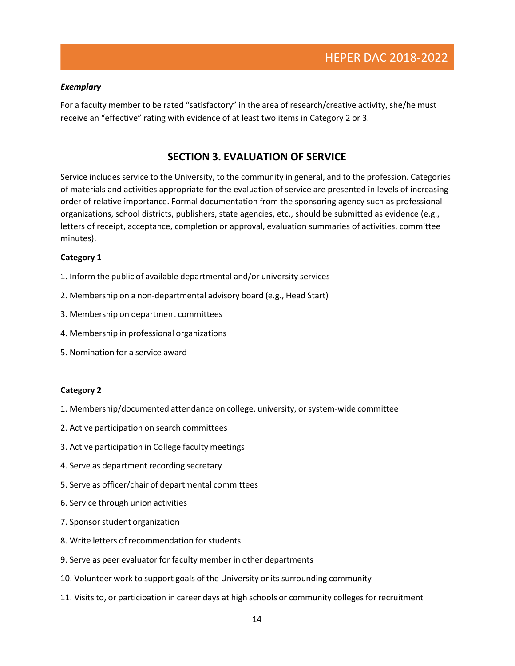#### *Exemplary*

For a faculty member to be rated "satisfactory" in the area of research/creative activity, she/he must receive an "effective" rating with evidence of at least two items in Category 2 or 3.

### **SECTION 3. EVALUATION OF SERVICE**

Service includes service to the University, to the community in general, and to the profession. Categories of materials and activities appropriate for the evaluation of service are presented in levels of increasing order of relative importance. Formal documentation from the sponsoring agency such as professional organizations, school districts, publishers, state agencies, etc., should be submitted as evidence (e.g., letters of receipt, acceptance, completion or approval, evaluation summaries of activities, committee minutes).

#### **Category 1**

- 1. Inform the public of available departmental and/or university services
- 2. Membership on a non-departmental advisory board (e.g., Head Start)
- 3. Membership on department committees
- 4. Membership in professional organizations
- 5. Nomination for a service award

#### **Category 2**

- 1. Membership/documented attendance on college, university, orsystem-wide committee
- 2. Active participation on search committees
- 3. Active participation in College faculty meetings
- 4. Serve as department recording secretary
- 5. Serve as officer/chair of departmental committees
- 6. Service through union activities
- 7. Sponsor student organization
- 8. Write letters of recommendation for students
- 9. Serve as peer evaluator for faculty member in other departments
- 10. Volunteer work to support goals of the University or its surrounding community
- 11. Visits to, or participation in career days at high schools or community colleges for recruitment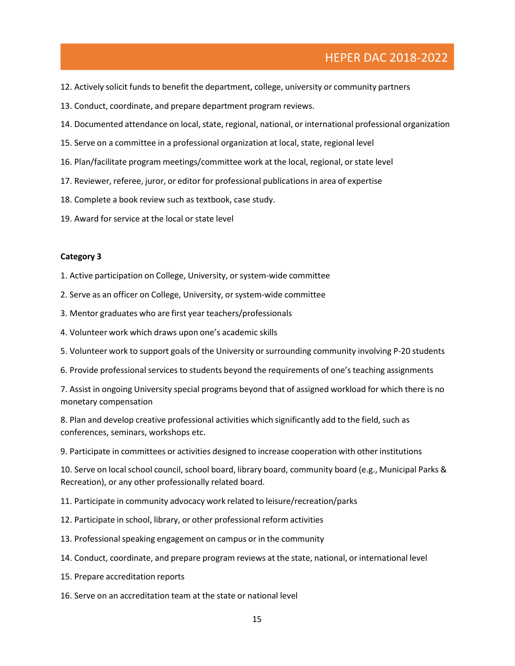### HEPER DAC 2018-2022

- 12. Actively solicit funds to benefit the department, college, university or community partners
- 13. Conduct, coordinate, and prepare department program reviews.
- 14. Documented attendance on local, state, regional, national, or international professional organization
- 15. Serve on a committee in a professional organization at local, state, regional level
- 16. Plan/facilitate program meetings/committee work at the local, regional, orstate level
- 17. Reviewer, referee, juror, or editor for professional publications in area of expertise
- 18. Complete a book review such as textbook, case study.
- 19. Award for service at the local or state level

#### **Category 3**

- 1. Active participation on College, University, or system-wide committee
- 2. Serve as an officer on College, University, or system-wide committee
- 3. Mentor graduates who are first year teachers/professionals
- 4. Volunteer work which draws upon one's academic skills
- 5. Volunteer work to support goals of the University or surrounding community involving P-20 students
- 6. Provide professional services to students beyond the requirements of one's teaching assignments

7. Assist in ongoing University special programs beyond that of assigned workload for which there is no monetary compensation

8. Plan and develop creative professional activities which significantly add to the field, such as conferences, seminars, workshops etc.

9. Participate in committees or activities designed to increase cooperation with other institutions

10. Serve on local school council, school board, library board, community board (e.g., Municipal Parks & Recreation), or any other professionally related board.

- 11. Participate in community advocacy work related to leisure/recreation/parks
- 12. Participate in school, library, or other professional reform activities
- 13. Professional speaking engagement on campus or in the community
- 14. Conduct, coordinate, and prepare program reviews at the state, national, or international level
- 15. Prepare accreditation reports
- 16. Serve on an accreditation team at the state or national level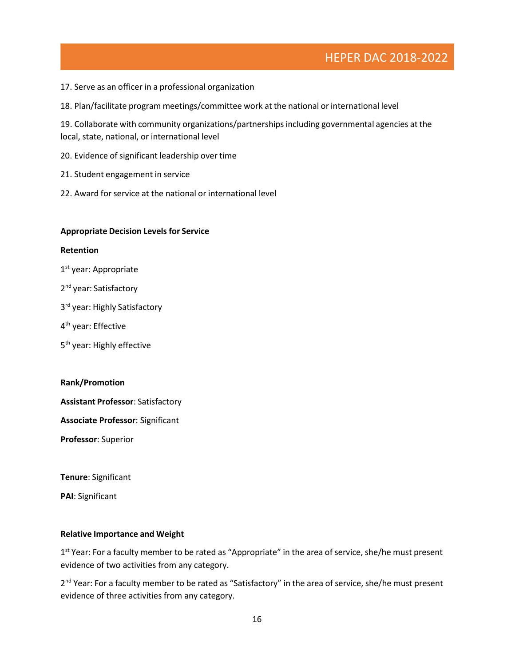### HEPER DAC 2018-2022

- 17. Serve as an officer in a professional organization
- 18. Plan/facilitate program meetings/committee work at the national or international level

19. Collaborate with community organizations/partnershipsincluding governmental agencies at the local, state, national, or international level

- 20. Evidence of significant leadership over time
- 21. Student engagement in service
- 22. Award for service at the national or international level

#### **Appropriate Decision Levels for Service**

#### **Retention**

- 1 st year: Appropriate
- 2<sup>nd</sup> year: Satisfactory
- 3 rd year: Highly Satisfactory
- 4<sup>th</sup> year: Effective
- 5<sup>th</sup> year: Highly effective

#### **Rank/Promotion**

**Assistant Professor**: Satisfactory

**Associate Professor**: Significant

**Professor**: Superior

**Tenure**: Significant

**PAI**: Significant

#### **Relative Importance and Weight**

1<sup>st</sup> Year: For a faculty member to be rated as "Appropriate" in the area of service, she/he must present evidence of two activities from any category.

2<sup>nd</sup> Year: For a faculty member to be rated as "Satisfactory" in the area of service, she/he must present evidence of three activities from any category.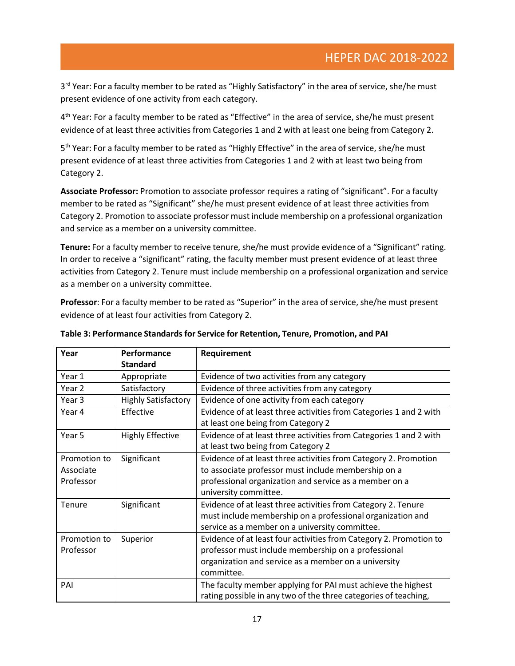3<sup>rd</sup> Year: For a faculty member to be rated as "Highly Satisfactory" in the area of service, she/he must present evidence of one activity from each category.

4<sup>th</sup> Year: For a faculty member to be rated as "Effective" in the area of service, she/he must present evidence of at least three activities from Categories 1 and 2 with at least one being from Category 2.

5<sup>th</sup> Year: For a faculty member to be rated as "Highly Effective" in the area of service, she/he must present evidence of at least three activities from Categories 1 and 2 with at least two being from Category 2.

**Associate Professor:** Promotion to associate professor requires a rating of "significant". For a faculty member to be rated as "Significant" she/he must present evidence of at least three activities from Category 2. Promotion to associate professor must include membership on a professional organization and service as a member on a university committee.

**Tenure:** For a faculty member to receive tenure, she/he must provide evidence of a "Significant" rating. In order to receive a "significant" rating, the faculty member must present evidence of at least three activities from Category 2. Tenure must include membership on a professional organization and service as a member on a university committee.

**Professor**: For a faculty member to be rated as "Superior" in the area of service, she/he must present evidence of at least four activities from Category 2.

| Year                                   | Performance<br><b>Standard</b> | Requirement                                                                                                                                                                                                |
|----------------------------------------|--------------------------------|------------------------------------------------------------------------------------------------------------------------------------------------------------------------------------------------------------|
| Year 1                                 | Appropriate                    | Evidence of two activities from any category                                                                                                                                                               |
| Year <sub>2</sub>                      | Satisfactory                   | Evidence of three activities from any category                                                                                                                                                             |
| Year 3                                 | <b>Highly Satisfactory</b>     | Evidence of one activity from each category                                                                                                                                                                |
| Year 4                                 | Effective                      | Evidence of at least three activities from Categories 1 and 2 with<br>at least one being from Category 2                                                                                                   |
| Year 5                                 | <b>Highly Effective</b>        | Evidence of at least three activities from Categories 1 and 2 with<br>at least two being from Category 2                                                                                                   |
| Promotion to<br>Associate<br>Professor | Significant                    | Evidence of at least three activities from Category 2. Promotion<br>to associate professor must include membership on a<br>professional organization and service as a member on a<br>university committee. |
| <b>Tenure</b>                          | Significant                    | Evidence of at least three activities from Category 2. Tenure<br>must include membership on a professional organization and<br>service as a member on a university committee.                              |
| Promotion to<br>Professor              | Superior                       | Evidence of at least four activities from Category 2. Promotion to<br>professor must include membership on a professional<br>organization and service as a member on a university<br>committee.            |
| PAI                                    |                                | The faculty member applying for PAI must achieve the highest<br>rating possible in any two of the three categories of teaching,                                                                            |

#### **Table 3: Performance Standards for Service for Retention, Tenure, Promotion, and PAI**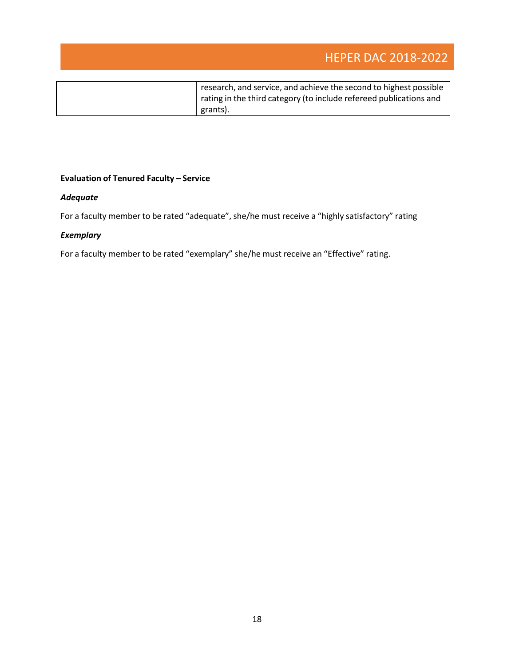# HEPER DAC 2018-2022

| research, and service, and achieve the second to highest possible<br>rating in the third category (to include refereed publications and<br>grants). |
|-----------------------------------------------------------------------------------------------------------------------------------------------------|
|                                                                                                                                                     |

### **Evaluation of Tenured Faculty – Service**

#### *Adequate*

For a faculty member to be rated "adequate", she/he must receive a "highly satisfactory" rating

#### *Exemplary*

For a faculty member to be rated "exemplary" she/he must receive an "Effective" rating.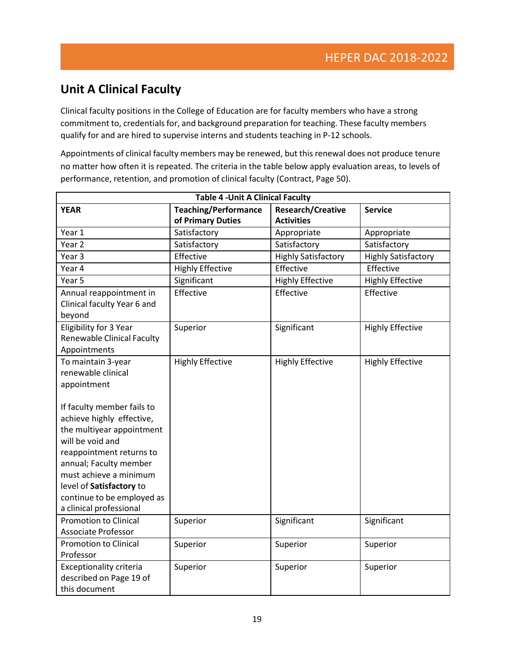# **Unit A Clinical Faculty**

Clinical faculty positions in the College of Education are for faculty members who have a strong commitment to, credentials for, and background preparation for teaching. These faculty members qualify for and are hired to supervise interns and students teaching in P-12 schools.

Appointments of clinical faculty members may be renewed, but this renewal does not produce tenure no matter how often it is repeated. The criteria in the table below apply evaluation areas, to levels of performance, retention, and promotion of clinical faculty (Contract, Page 50).

| <b>Table 4 - Unit A Clinical Faculty</b>                                                                                                                            |                                                  |                                               |                            |
|---------------------------------------------------------------------------------------------------------------------------------------------------------------------|--------------------------------------------------|-----------------------------------------------|----------------------------|
| <b>YEAR</b>                                                                                                                                                         | <b>Teaching/Performance</b><br>of Primary Duties | <b>Research/Creative</b><br><b>Activities</b> | <b>Service</b>             |
| Year 1                                                                                                                                                              | Satisfactory                                     | Appropriate                                   | Appropriate                |
| Year <sub>2</sub>                                                                                                                                                   | Satisfactory                                     | Satisfactory                                  | Satisfactory               |
| Year <sub>3</sub>                                                                                                                                                   | Effective                                        | <b>Highly Satisfactory</b>                    | <b>Highly Satisfactory</b> |
| Year 4                                                                                                                                                              | <b>Highly Effective</b>                          | Effective                                     | Effective                  |
| Year 5                                                                                                                                                              | Significant                                      | <b>Highly Effective</b>                       | <b>Highly Effective</b>    |
| Annual reappointment in<br>Clinical faculty Year 6 and<br>beyond                                                                                                    | Effective                                        | Effective                                     | Effective                  |
| Eligibility for 3 Year<br><b>Renewable Clinical Faculty</b><br>Appointments                                                                                         | Superior                                         | Significant                                   | <b>Highly Effective</b>    |
| To maintain 3-year<br>renewable clinical<br>appointment<br>If faculty member fails to<br>achieve highly effective,<br>the multiyear appointment<br>will be void and | <b>Highly Effective</b>                          | <b>Highly Effective</b>                       | <b>Highly Effective</b>    |
| reappointment returns to<br>annual; Faculty member<br>must achieve a minimum<br>level of Satisfactory to<br>continue to be employed as<br>a clinical professional   |                                                  |                                               |                            |
| <b>Promotion to Clinical</b><br><b>Associate Professor</b>                                                                                                          | Superior                                         | Significant                                   | Significant                |
| <b>Promotion to Clinical</b><br>Professor                                                                                                                           | Superior                                         | Superior                                      | Superior                   |
| Exceptionality criteria<br>described on Page 19 of<br>this document                                                                                                 | Superior                                         | Superior                                      | Superior                   |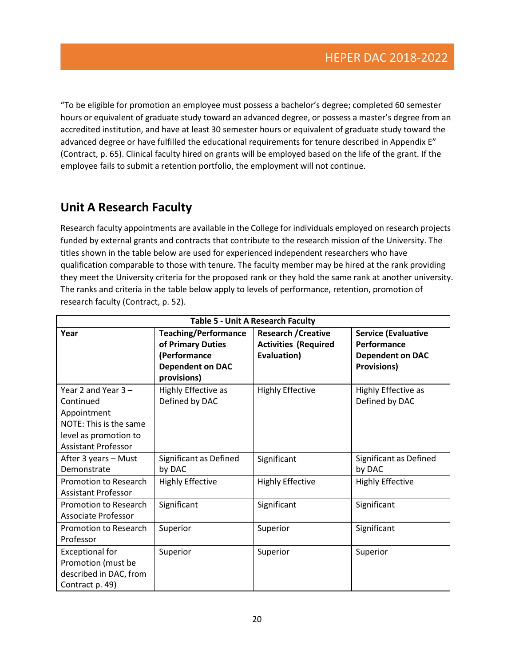"To be eligible for promotion an employee must possess a bachelor's degree; completed 60 semester hours or equivalent of graduate study toward an advanced degree, or possess a master's degree from an accredited institution, and have at least 30 semester hours or equivalent of graduate study toward the advanced degree or have fulfilled the educational requirements for tenure described in Appendix E" (Contract, p. 65). Clinical faculty hired on grants will be employed based on the life of the grant. If the employee fails to submit a retention portfolio, the employment will not continue.

## **Unit A Research Faculty**

Research faculty appointments are available in the College for individuals employed on research projects funded by external grants and contracts that contribute to the research mission of the University. The titles shown in the table below are used for experienced independent researchers who have qualification comparable to those with tenure. The faculty member may be hired at the rank providing they meet the University criteria for the proposed rank or they hold the same rank at another university. The ranks and criteria in the table below apply to levels of performance, retention, promotion of research faculty (Contract, p. 52).

| <b>Table 5 - Unit A Research Faculty</b>                                                                                           |                                                                                                            |                                                                          |                                                                                            |
|------------------------------------------------------------------------------------------------------------------------------------|------------------------------------------------------------------------------------------------------------|--------------------------------------------------------------------------|--------------------------------------------------------------------------------------------|
| Year                                                                                                                               | <b>Teaching/Performance</b><br>of Primary Duties<br>(Performance<br><b>Dependent on DAC</b><br>provisions) | <b>Research / Creative</b><br><b>Activities (Required</b><br>Evaluation) | <b>Service (Evaluative</b><br>Performance<br><b>Dependent on DAC</b><br><b>Provisions)</b> |
| Year 2 and Year $3 -$<br>Continued<br>Appointment<br>NOTE: This is the same<br>level as promotion to<br><b>Assistant Professor</b> | Highly Effective as<br>Defined by DAC                                                                      | <b>Highly Effective</b>                                                  | Highly Effective as<br>Defined by DAC                                                      |
| After 3 years - Must<br>Demonstrate                                                                                                | Significant as Defined<br>by DAC                                                                           | Significant                                                              | Significant as Defined<br>by DAC                                                           |
| Promotion to Research<br><b>Assistant Professor</b>                                                                                | <b>Highly Effective</b>                                                                                    | <b>Highly Effective</b>                                                  | <b>Highly Effective</b>                                                                    |
| Promotion to Research<br>Associate Professor                                                                                       | Significant                                                                                                | Significant                                                              | Significant                                                                                |
| <b>Promotion to Research</b><br>Professor                                                                                          | Superior                                                                                                   | Superior                                                                 | Significant                                                                                |
| <b>Exceptional for</b><br>Promotion (must be<br>described in DAC, from<br>Contract p. 49)                                          | Superior                                                                                                   | Superior                                                                 | Superior                                                                                   |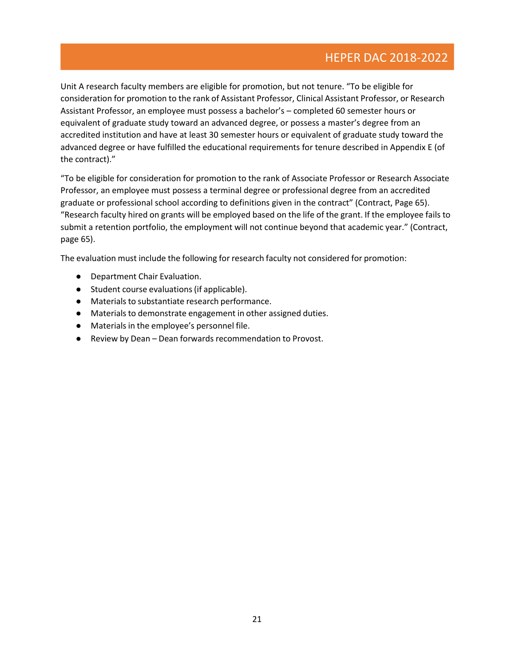Unit A research faculty members are eligible for promotion, but not tenure. "To be eligible for consideration for promotion to the rank of Assistant Professor, Clinical Assistant Professor, or Research Assistant Professor, an employee must possess a bachelor's – completed 60 semester hours or equivalent of graduate study toward an advanced degree, or possess a master's degree from an accredited institution and have at least 30 semester hours or equivalent of graduate study toward the advanced degree or have fulfilled the educational requirements for tenure described in Appendix E (of the contract)."

"To be eligible for consideration for promotion to the rank of Associate Professor or Research Associate Professor, an employee must possess a terminal degree or professional degree from an accredited graduate or professional school according to definitions given in the contract" (Contract, Page 65). "Research faculty hired on grants will be employed based on the life of the grant. If the employee fails to submit a retention portfolio, the employment will not continue beyond that academic year." (Contract, page 65).

The evaluation must include the following for research faculty not considered for promotion:

- Department Chair Evaluation.
- Student course evaluations(if applicable).
- Materials to substantiate research performance.
- Materials to demonstrate engagement in other assigned duties.
- Materials in the employee's personnel file.
- Review by Dean Dean forwards recommendation to Provost.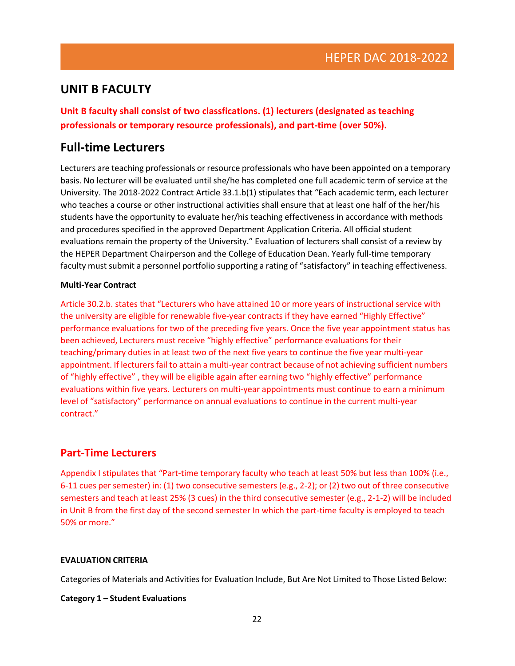### **UNIT B FACULTY**

**Unit B faculty shall consist of two classfications. (1) lecturers (designated as teaching professionals or temporary resource professionals), and part-time (over 50%).**

### **Full-time Lecturers**

Lecturers are teaching professionals or resource professionals who have been appointed on a temporary basis. No lecturer will be evaluated until she/he has completed one full academic term of service at the University. The 2018-2022 Contract Article 33.1.b(1) stipulates that "Each academic term, each lecturer who teaches a course or other instructional activities shall ensure that at least one half of the her/his students have the opportunity to evaluate her/his teaching effectiveness in accordance with methods and procedures specified in the approved Department Application Criteria. All official student evaluations remain the property of the University." Evaluation of lecturers shall consist of a review by the HEPER Department Chairperson and the College of Education Dean. Yearly full-time temporary faculty must submit a personnel portfolio supporting a rating of "satisfactory" in teaching effectiveness.

#### **Multi-Year Contract**

Article 30.2.b. states that "Lecturers who have attained 10 or more years of instructional service with the university are eligible for renewable five-year contracts if they have earned "Highly Effective" performance evaluations for two of the preceding five years. Once the five year appointment status has been achieved, Lecturers must receive "highly effective" performance evaluations for their teaching/primary duties in at least two of the next five years to continue the five year multi-year appointment. If lecturers fail to attain a multi-year contract because of not achieving sufficient numbers of "highly effective" , they will be eligible again after earning two "highly effective" performance evaluations within five years. Lecturers on multi-year appointments must continue to earn a minimum level of "satisfactory" performance on annual evaluations to continue in the current multi-year contract."

### **Part-Time Lecturers**

Appendix I stipulates that "Part-time temporary faculty who teach at least 50% but less than 100% (i.e., 6-11 cues per semester) in: (1) two consecutive semesters (e.g., 2-2); or (2) two out of three consecutive semesters and teach at least 25% (3 cues) in the third consecutive semester (e.g., 2-1-2) will be included in Unit B from the first day of the second semester In which the part-time faculty is employed to teach 50% or more."

#### **EVALUATION CRITERIA**

Categories of Materials and Activities for Evaluation Include, But Are Not Limited to Those Listed Below:

#### **Category 1 – Student Evaluations**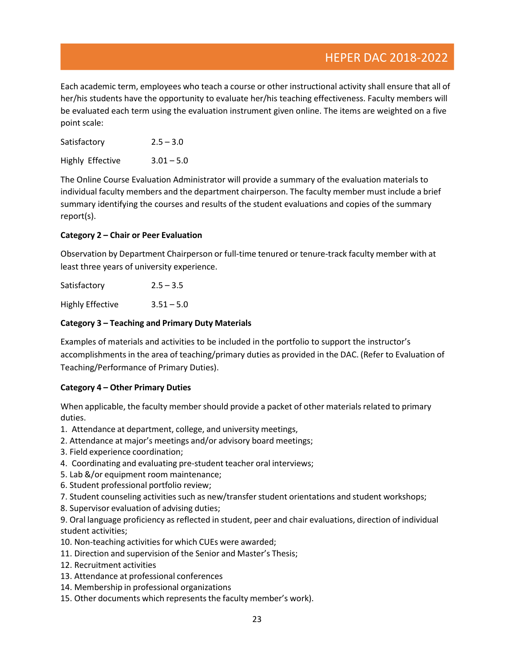Each academic term, employees who teach a course or other instructional activity shall ensure that all of her/his students have the opportunity to evaluate her/his teaching effectiveness. Faculty members will be evaluated each term using the evaluation instrument given online. The items are weighted on a five point scale:

| Satisfactory     | $2.5 - 3.0$  |
|------------------|--------------|
| Highly Effective | $3.01 - 5.0$ |

The Online Course Evaluation Administrator will provide a summary of the evaluation materials to individual faculty members and the department chairperson. The faculty member must include a brief summary identifying the courses and results of the student evaluations and copies of the summary report(s).

#### **Category 2 – Chair or Peer Evaluation**

Observation by Department Chairperson or full-time tenured or tenure-track faculty member with at least three years of university experience.

| Satisfactory            | $2.5 - 3.5$  |
|-------------------------|--------------|
| <b>Highly Effective</b> | $3.51 - 5.0$ |

#### **Category 3 – Teaching and Primary Duty Materials**

Examples of materials and activities to be included in the portfolio to support the instructor's accomplishments in the area of teaching/primary duties as provided in the DAC. (Refer to Evaluation of Teaching/Performance of Primary Duties).

#### **Category 4 – Other Primary Duties**

When applicable, the faculty member should provide a packet of other materials related to primary duties.

- 1. Attendance at department, college, and university meetings,
- 2. Attendance at major's meetings and/or advisory board meetings;
- 3. Field experience coordination;
- 4. Coordinating and evaluating pre-student teacher oral interviews;
- 5. Lab &/or equipment room maintenance;
- 6. Student professional portfolio review;
- 7. Student counseling activities such as new/transfer student orientations and student workshops;
- 8. Supervisor evaluation of advising duties;

9. Oral language proficiency as reflected in student, peer and chair evaluations, direction of individual student activities;

- 10. Non-teaching activities for which CUEs were awarded;
- 11. Direction and supervision of the Senior and Master's Thesis;
- 12. Recruitment activities
- 13. Attendance at professional conferences
- 14. Membership in professional organizations
- 15. Other documents which represents the faculty member's work).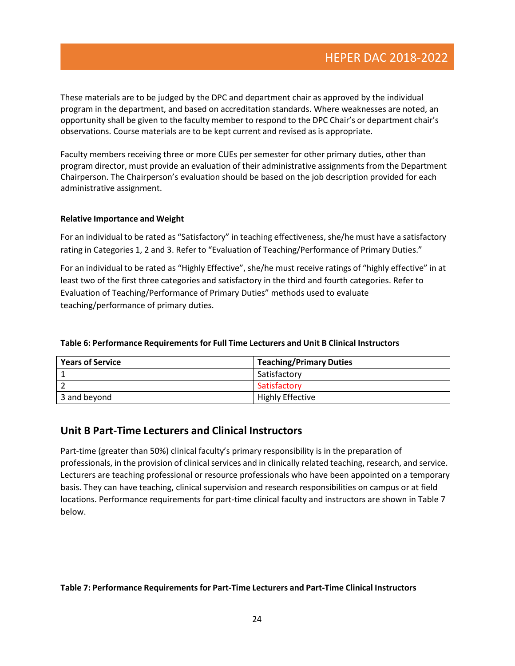These materials are to be judged by the DPC and department chair as approved by the individual program in the department, and based on accreditation standards. Where weaknesses are noted, an opportunity shall be given to the faculty member to respond to the DPC Chair's or department chair's observations. Course materials are to be kept current and revised as is appropriate.

Faculty members receiving three or more CUEs per semester for other primary duties, other than program director, must provide an evaluation of their administrative assignmentsfrom the Department Chairperson. The Chairperson's evaluation should be based on the job description provided for each administrative assignment.

#### **Relative Importance and Weight**

For an individual to be rated as "Satisfactory" in teaching effectiveness, she/he must have a satisfactory rating in Categories 1, 2 and 3. Refer to "Evaluation of Teaching/Performance of Primary Duties."

For an individual to be rated as "Highly Effective", she/he must receive ratings of "highly effective" in at least two of the first three categories and satisfactory in the third and fourth categories. Refer to Evaluation of Teaching/Performance of Primary Duties" methods used to evaluate teaching/performance of primary duties.

| <b>Years of Service</b> | <b>Teaching/Primary Duties</b> |
|-------------------------|--------------------------------|
|                         | Satisfactory                   |
|                         | Satisfactory                   |
| 3 and beyond            | <b>Highly Effective</b>        |

#### **Table 6: Performance Requirements for Full Time Lecturers and Unit B Clinical Instructors**

### **Unit B Part-Time Lecturers and Clinical Instructors**

Part-time (greater than 50%) clinical faculty's primary responsibility is in the preparation of professionals, in the provision of clinical services and in clinically related teaching, research, and service. Lecturers are teaching professional or resource professionals who have been appointed on a temporary basis. They can have teaching, clinical supervision and research responsibilities on campus or at field locations. Performance requirements for part-time clinical faculty and instructors are shown in Table 7 below.

#### **Table 7: Performance Requirementsfor Part-Time Lecturers and Part-Time Clinical Instructors**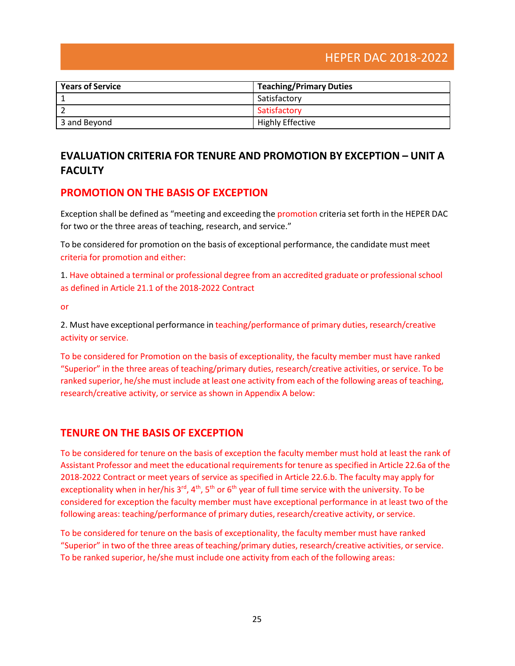| <b>Years of Service</b> | <b>Teaching/Primary Duties</b> |
|-------------------------|--------------------------------|
|                         | Satisfactory                   |
|                         | Satisfactory                   |
| 3 and Beyond            | <b>Highly Effective</b>        |

## **EVALUATION CRITERIA FOR TENURE AND PROMOTION BY EXCEPTION – UNIT A FACULTY**

### **PROMOTION ON THE BASIS OF EXCEPTION**

Exception shall be defined as "meeting and exceeding the promotion criteria set forth in the HEPER DAC for two or the three areas of teaching, research, and service."

To be considered for promotion on the basis of exceptional performance, the candidate must meet criteria for promotion and either:

1. Have obtained a terminal or professional degree from an accredited graduate or professional school as defined in Article 21.1 of the 2018-2022 Contract

or

2. Must have exceptional performance in teaching/performance of primary duties, research/creative activity or service.

To be considered for Promotion on the basis of exceptionality, the faculty member must have ranked "Superior" in the three areas of teaching/primary duties, research/creative activities, or service. To be ranked superior, he/she must include at least one activity from each of the following areas of teaching, research/creative activity, or service as shown in Appendix A below:

### **TENURE ON THE BASIS OF EXCEPTION**

To be considered for tenure on the basis of exception the faculty member must hold at least the rank of Assistant Professor and meet the educational requirements for tenure as specified in Article 22.6a of the 2018-2022 Contract or meet years of service as specified in Article 22.6.b. The faculty may apply for exceptionality when in her/his  $3^{rd}$ ,  $4^{th}$ ,  $5^{th}$  or  $6^{th}$  year of full time service with the university. To be considered for exception the faculty member must have exceptional performance in at least two of the following areas: teaching/performance of primary duties, research/creative activity, or service.

To be considered for tenure on the basis of exceptionality, the faculty member must have ranked "Superior" in two of the three areas of teaching/primary duties, research/creative activities, orservice. To be ranked superior, he/she must include one activity from each of the following areas: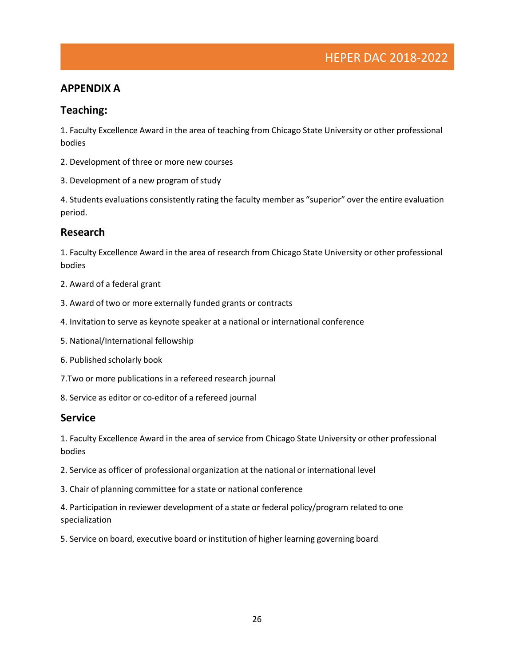### **APPENDIX A**

### **Teaching:**

1. Faculty Excellence Award in the area of teaching from Chicago State University or other professional bodies

- 2. Development of three or more new courses
- 3. Development of a new program of study

4. Students evaluations consistently rating the faculty member as "superior" over the entire evaluation period.

### **Research**

1. Faculty Excellence Award in the area of research from Chicago State University or other professional bodies

- 2. Award of a federal grant
- 3. Award of two or more externally funded grants or contracts
- 4. Invitation to serve as keynote speaker at a national or international conference
- 5. National/International fellowship
- 6. Published scholarly book
- 7.Two or more publications in a refereed research journal
- 8. Service as editor or co-editor of a refereed journal

#### **Service**

1. Faculty Excellence Award in the area of service from Chicago State University or other professional bodies

- 2. Service as officer of professional organization at the national or international level
- 3. Chair of planning committee for a state or national conference

4. Participation in reviewer development of a state or federal policy/program related to one specialization

5. Service on board, executive board or institution of higher learning governing board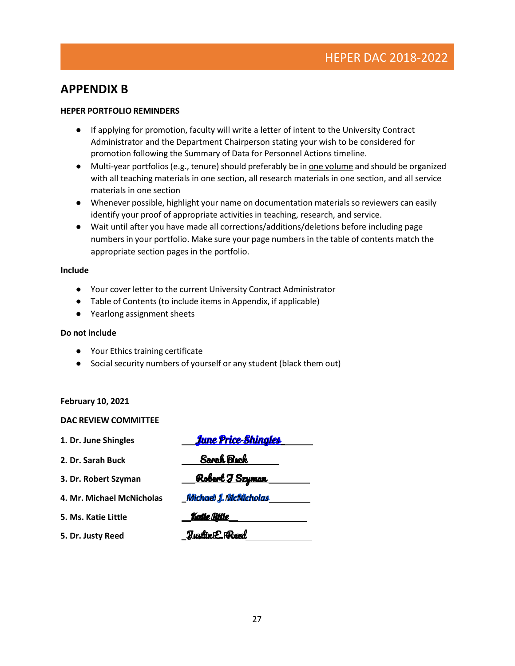### **APPENDIX B**

#### **HEPER PORTFOLIO REMINDERS**

- If applying for promotion, faculty will write a letter of intent to the University Contract Administrator and the Department Chairperson stating your wish to be considered for promotion following the Summary of Data for Personnel Actions timeline.
- Multi-year portfolios (e.g., tenure) should preferably be in one volume and should be organized with all teaching materials in one section, all research materials in one section, and all service materials in one section
- Whenever possible, highlight your name on documentation materials so reviewers can easily identify your proof of appropriate activities in teaching, research, and service.
- Wait until after you have made all corrections/additions/deletions before including page numbers in your portfolio. Make sure your page numbers in the table of contents match the appropriate section pages in the portfolio.

#### **Include**

- Your cover letter to the current University Contract Administrator
- Table of Contents (to include items in Appendix, if applicable)
- Yearlong assignment sheets

#### **Do not include**

- Your Ethics training certificate
- Social security numbers of yourself or any student (black them out)

#### **February 10, 2021**

#### **DAC REVIEW COMMITTEE**

| 1. Dr. June Shingles      | <u>June Price-Shingles</u> |
|---------------------------|----------------------------|
| 2. Dr. Sarah Buck         | Sarah Buck                 |
| 3. Dr. Robert Szyman      | <u>Robert I Szyman </u>    |
| 4. Mr. Michael McNicholas | Michael 1. McNicholas      |
| 5. Ms. Katie Little       | <b>Katie little</b>        |
| 5. Dr. Justy Reed         | <b>Tustin E. Reed</b>      |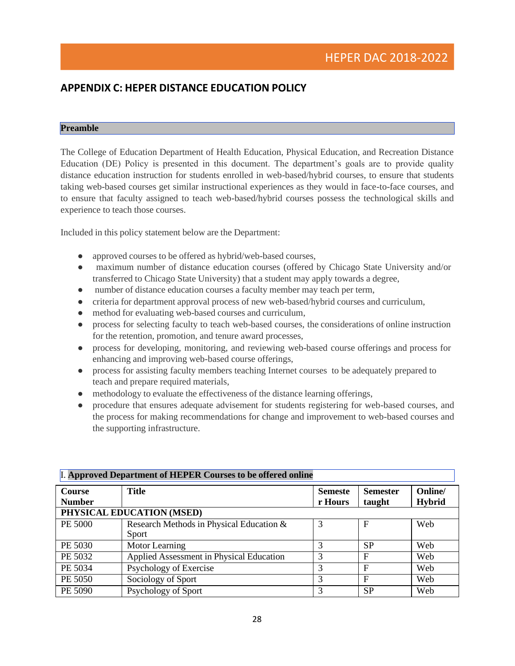### **APPENDIX C: HEPER DISTANCE EDUCATION POLICY**

#### **Preamble**

The College of Education Department of Health Education, Physical Education, and Recreation Distance Education (DE) Policy is presented in this document. The department's goals are to provide quality distance education instruction for students enrolled in web-based/hybrid courses, to ensure that students taking web-based courses get similar instructional experiences as they would in face-to-face courses, and to ensure that faculty assigned to teach web-based/hybrid courses possess the technological skills and experience to teach those courses.

Included in this policy statement below are the Department:

- approved courses to be offered as hybrid/web-based courses,
- maximum number of distance education courses (offered by Chicago State University and/or transferred to Chicago State University) that a student may apply towards a degree,
- number of distance education courses a faculty member may teach per term,
- criteria for department approval process of new web-based/hybrid courses and curriculum,
- method for evaluating web-based courses and curriculum,
- process for selecting faculty to teach web-based courses, the considerations of online instruction for the retention, promotion, and tenure award processes,
- process for developing, monitoring, and reviewing web-based course offerings and process for enhancing and improving web-based course offerings,
- process for assisting faculty members teaching Internet courses to be adequately prepared to teach and prepare required materials,
- methodology to evaluate the effectiveness of the distance learning offerings,
- procedure that ensures adequate advisement for students registering for web-based courses, and the process for making recommendations for change and improvement to web-based courses and the supporting infrastructure.

| I. Approved Department of HEPER Courses to be offered online |                                          |                |                 |               |
|--------------------------------------------------------------|------------------------------------------|----------------|-----------------|---------------|
| Course                                                       | <b>Title</b>                             | <b>Semeste</b> | <b>Semester</b> | Online/       |
| <b>Number</b>                                                |                                          | r Hours        | taught          | <b>Hybrid</b> |
| PHYSICAL EDUCATION (MSED)                                    |                                          |                |                 |               |
| PE 5000                                                      | Research Methods in Physical Education & |                | F               | Web           |
|                                                              | Sport                                    |                |                 |               |
| PE 5030                                                      | Motor Learning                           | 3              | <b>SP</b>       | Web           |
| PE 5032                                                      | Applied Assessment in Physical Education | 3              | F               | Web           |
| PE 5034                                                      | Psychology of Exercise                   | 3              | F               | Web           |
| PE 5050                                                      | Sociology of Sport                       | 3              | $\mathbf{F}$    | Web           |
| PE 5090                                                      | Psychology of Sport                      | 3              | <b>SP</b>       | Web           |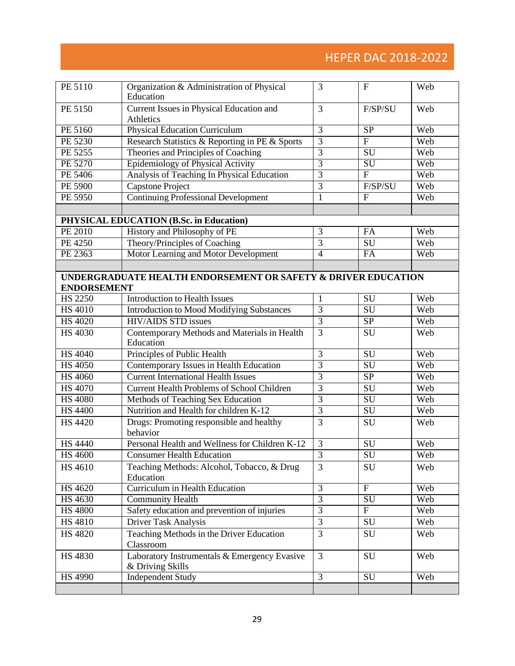# HEPER DAC 2018-2022

| PE 5110            | Organization & Administration of Physical<br>Education           | 3              | $\mathbf{F}$              | Web |
|--------------------|------------------------------------------------------------------|----------------|---------------------------|-----|
| PE 5150            | Current Issues in Physical Education and<br>Athletics            | 3              | F/SP/SU                   | Web |
| PE 5160            | <b>Physical Education Curriculum</b>                             | 3              | <b>SP</b>                 | Web |
| PE 5230            | Research Statistics & Reporting in PE & Sports                   | $\overline{3}$ | $\mathbf F$               | Web |
| PE 5255            | Theories and Principles of Coaching                              | $\overline{3}$ | <b>SU</b>                 | Web |
| PE 5270            | Epidemiology of Physical Activity                                | $\overline{3}$ | SU                        | Web |
| PE 5406            | Analysis of Teaching In Physical Education                       | $\overline{3}$ | $\overline{F}$            | Web |
| PE 5900            | <b>Capstone Project</b>                                          | $\overline{3}$ | F/SP/SU                   | Web |
| PE 5950            | <b>Continuing Professional Development</b>                       | $\mathbf{1}$   | $\mathbf{F}$              | Web |
|                    |                                                                  |                |                           |     |
|                    | PHYSICAL EDUCATION (B.Sc. in Education)                          |                |                           |     |
| PE 2010            | History and Philosophy of PE                                     | 3              | FA                        | Web |
| PE 4250            | Theory/Principles of Coaching                                    | $\overline{3}$ | <b>SU</b>                 | Web |
| PE 2363            | Motor Learning and Motor Development                             | $\overline{4}$ | FA                        | Web |
|                    |                                                                  |                |                           |     |
|                    | UNDERGRADUATE HEALTH ENDORSEMENT OR SAFETY & DRIVER EDUCATION    |                |                           |     |
| <b>ENDORSEMENT</b> |                                                                  |                |                           |     |
| <b>HS 2250</b>     | <b>Introduction to Health Issues</b>                             | 1              | <b>SU</b>                 | Web |
| <b>HS 4010</b>     | <b>Introduction to Mood Modifying Substances</b>                 | $\overline{3}$ | <b>SU</b>                 | Web |
| <b>HS 4020</b>     | <b>HIV/AIDS STD issues</b>                                       | $\overline{3}$ | <b>SP</b>                 | Web |
| <b>HS 4030</b>     | Contemporary Methods and Materials in Health<br>Education        | $\overline{3}$ | SU                        | Web |
| <b>HS 4040</b>     | Principles of Public Health                                      | 3              | <b>SU</b>                 | Web |
| <b>HS 4050</b>     | Contemporary Issues in Health Education                          | 3              | SU                        | Web |
| <b>HS 4060</b>     | <b>Current International Health Issues</b>                       | $\overline{3}$ | <b>SP</b>                 | Web |
| <b>HS 4070</b>     | <b>Current Health Problems of School Children</b>                | $\overline{3}$ | SU                        | Web |
| <b>HS 4080</b>     | Methods of Teaching Sex Education                                | $\overline{3}$ | SU                        | Web |
| <b>HS 4400</b>     | Nutrition and Health for children K-12                           | $\overline{3}$ | $\overline{\mathrm{SU}}$  | Web |
| <b>HS 4420</b>     | Drugs: Promoting responsible and healthy<br>behavior             | 3              | SU                        | Web |
| <b>HS 4440</b>     | Personal Health and Wellness for Children K-12                   | 3              | SU                        | Web |
| <b>HS</b> 4600     | <b>Consumer Health Education</b>                                 | $\overline{3}$ | SU                        | Web |
| <b>HS</b> 4610     | Teaching Methods: Alcohol, Tobacco, & Drug<br>Education          | 3              | SU                        | Web |
| HS 4620            | Curriculum in Health Education                                   | 3              | $\boldsymbol{\mathrm{F}}$ | Web |
| HS 4630            | <b>Community Health</b>                                          | $\overline{3}$ | SU                        | Web |
| <b>HS 4800</b>     | Safety education and prevention of injuries                      | $\overline{3}$ | $\mathbf{F}$              | Web |
| <b>HS 4810</b>     | Driver Task Analysis                                             | $\overline{3}$ | SU                        | Web |
| <b>HS 4820</b>     | Teaching Methods in the Driver Education<br>Classroom            | 3              | SU                        | Web |
| <b>HS 4830</b>     | Laboratory Instrumentals & Emergency Evasive<br>& Driving Skills | 3              | SU                        | Web |
| <b>HS 4990</b>     | <b>Independent Study</b>                                         | $\overline{3}$ | $\overline{\mathrm{SU}}$  | Web |
|                    |                                                                  |                |                           |     |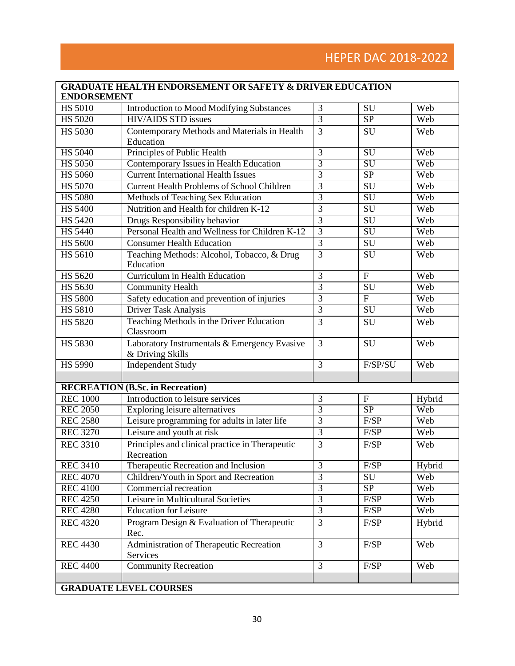| <b>ENDORSEMENT</b> |                                                                  |                |                          |        |
|--------------------|------------------------------------------------------------------|----------------|--------------------------|--------|
| <b>HS 5010</b>     | <b>Introduction to Mood Modifying Substances</b>                 | 3              | SU                       | Web    |
| <b>HS 5020</b>     | <b>HIV/AIDS STD issues</b>                                       | $\overline{3}$ | <b>SP</b>                | Web    |
| <b>HS 5030</b>     | Contemporary Methods and Materials in Health<br>Education        | 3              | SU                       | Web    |
| <b>HS 5040</b>     | Principles of Public Health                                      | $\overline{3}$ | $\overline{\mathrm{SU}}$ | Web    |
| <b>HS 5050</b>     | Contemporary Issues in Health Education                          | $\overline{3}$ | $\overline{\mathrm{SU}}$ | Web    |
| <b>HS 5060</b>     | <b>Current International Health Issues</b>                       | $\overline{3}$ | <b>SP</b>                | Web    |
| <b>HS 5070</b>     | <b>Current Health Problems of School Children</b>                | $\overline{3}$ | SU                       | Web    |
| <b>HS 5080</b>     | Methods of Teaching Sex Education                                | $\overline{3}$ | $\overline{\mathrm{SU}}$ | Web    |
| <b>HS 5400</b>     | Nutrition and Health for children K-12                           | $\overline{3}$ | SU                       | Web    |
| <b>HS 5420</b>     | Drugs Responsibility behavior                                    | $\overline{3}$ | SU                       | Web    |
| <b>HS 5440</b>     | Personal Health and Wellness for Children K-12                   | $\overline{3}$ | $\overline{\mathrm{SU}}$ | Web    |
| <b>HS 5600</b>     | <b>Consumer Health Education</b>                                 | $\overline{3}$ | SU                       | Web    |
| <b>HS 5610</b>     | Teaching Methods: Alcohol, Tobacco, & Drug<br>Education          | $\overline{3}$ | SU                       | Web    |
| <b>HS 5620</b>     | <b>Curriculum in Health Education</b>                            | $\overline{3}$ | $\mathbf{F}$             | Web    |
| <b>HS 5630</b>     | <b>Community Health</b>                                          | $\overline{3}$ | SU                       | Web    |
| <b>HS 5800</b>     | Safety education and prevention of injuries                      | $\overline{3}$ | $\overline{F}$           | Web    |
| <b>HS 5810</b>     | Driver Task Analysis                                             | $\overline{3}$ | SU                       | Web    |
| <b>HS 5820</b>     | Teaching Methods in the Driver Education<br>Classroom            | $\overline{3}$ | SU                       | Web    |
| <b>HS 5830</b>     | Laboratory Instrumentals & Emergency Evasive<br>& Driving Skills | 3              | SU                       | Web    |
| <b>HS 5990</b>     | <b>Independent Study</b>                                         | $\overline{3}$ | F/SP/SU                  | Web    |
|                    |                                                                  |                |                          |        |
|                    | <b>RECREATION (B.Sc. in Recreation)</b>                          |                |                          |        |
| <b>REC 1000</b>    | Introduction to leisure services                                 | $\overline{3}$ | $\overline{F}$           | Hybrid |
| <b>REC 2050</b>    | <b>Exploring leisure alternatives</b>                            | $\overline{3}$ | SP                       | Web    |
| <b>REC 2580</b>    | Leisure programming for adults in later life                     | $\overline{3}$ | F/SP                     | Web    |
| <b>REC 3270</b>    | Leisure and youth at risk                                        | $\overline{3}$ | F/SP                     | Web    |
| <b>REC 3310</b>    | Principles and clinical practice in Therapeutic<br>Recreation    | 3              | F/SP                     | Web    |
| <b>REC 3410</b>    | Therapeutic Recreation and Inclusion                             | $\mathfrak{Z}$ | F/SP                     | Hybrid |
| <b>REC 4070</b>    | Children/Youth in Sport and Recreation                           | $\overline{3}$ | SU                       | Web    |
| <b>REC 4100</b>    | Commercial recreation                                            | $\overline{3}$ | <b>SP</b>                | Web    |
| <b>REC 4250</b>    | Leisure in Multicultural Societies                               | $\overline{3}$ | F/SP                     | Web    |
| <b>REC 4280</b>    | <b>Education for Leisure</b>                                     | $\overline{3}$ | F/SP                     | Web    |
| <b>REC 4320</b>    | Program Design & Evaluation of Therapeutic<br>Rec.               | 3              | F/SP                     | Hybrid |
|                    | Administration of Therapeutic Recreation                         | 3              | F/SP                     | Web    |
| <b>REC 4430</b>    | Services                                                         |                |                          |        |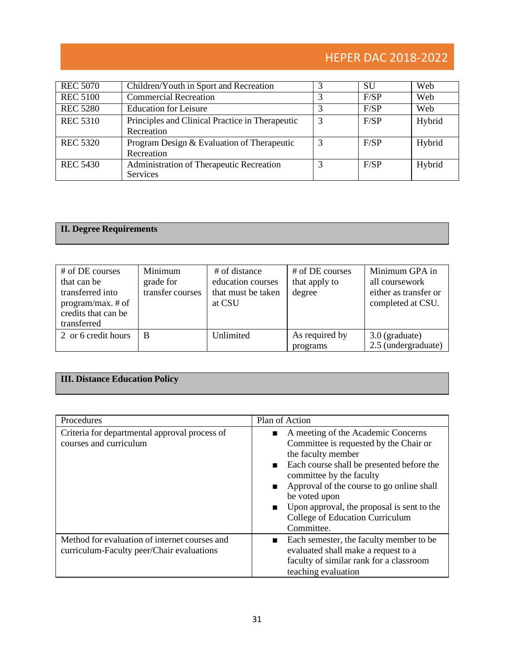# HEPER DAC 2018-2022

| <b>REC 5070</b> | Children/Youth in Sport and Recreation                        |   | <b>SU</b> | Web    |
|-----------------|---------------------------------------------------------------|---|-----------|--------|
| <b>REC 5100</b> | <b>Commercial Recreation</b>                                  |   | F/SP      | Web    |
| <b>REC 5280</b> | <b>Education for Leisure</b>                                  |   | F/SP      | Web    |
| <b>REC 5310</b> | Principles and Clinical Practice in Therapeutic<br>Recreation | 3 | F/SP      | Hybrid |
| <b>REC 5320</b> | Program Design & Evaluation of Therapeutic<br>Recreation      |   | F/SP      | Hybrid |
| <b>REC 5430</b> | Administration of Therapeutic Recreation<br><b>Services</b>   |   | F/SP      | Hybrid |

## **II. Degree Requirements**

| # of DE courses<br>that can be<br>transferred into<br>program/max. $#$ of<br>credits that can be<br>transferred | Minimum<br>grade for<br>transfer courses | # of distance<br>education courses<br>that must be taken<br>at CSU | # of DE courses<br>that apply to<br>degree | Minimum GPA in<br>all coursework<br>either as transfer or<br>completed at CSU. |
|-----------------------------------------------------------------------------------------------------------------|------------------------------------------|--------------------------------------------------------------------|--------------------------------------------|--------------------------------------------------------------------------------|
| 2 or 6 credit hours                                                                                             | B                                        | Unlimited                                                          | As required by<br>programs                 | 3.0 (graduate)<br>2.5 (undergraduate)                                          |

## **III. Distance Education Policy**

| Procedures                                                                                 | Plan of Action                                                                                                                                                                                                                                                                                                                           |
|--------------------------------------------------------------------------------------------|------------------------------------------------------------------------------------------------------------------------------------------------------------------------------------------------------------------------------------------------------------------------------------------------------------------------------------------|
| Criteria for departmental approval process of<br>courses and curriculum                    | A meeting of the Academic Concerns<br>Committee is requested by the Chair or<br>the faculty member<br>Each course shall be presented before the<br>committee by the faculty<br>Approval of the course to go online shall<br>be voted upon<br>Upon approval, the proposal is sent to the<br>College of Education Curriculum<br>Committee. |
| Method for evaluation of internet courses and<br>curriculum-Faculty peer/Chair evaluations | Each semester, the faculty member to be<br>evaluated shall make a request to a<br>faculty of similar rank for a classroom<br>teaching evaluation                                                                                                                                                                                         |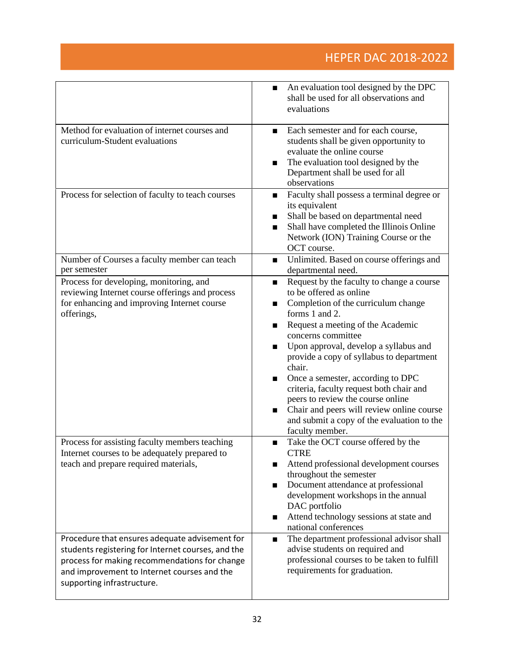|                                                                                                                                                                                                                                    | An evaluation tool designed by the DPC<br>shall be used for all observations and<br>evaluations                                                                                                                                                                                                                                                                                                                                                                                                                                                              |
|------------------------------------------------------------------------------------------------------------------------------------------------------------------------------------------------------------------------------------|--------------------------------------------------------------------------------------------------------------------------------------------------------------------------------------------------------------------------------------------------------------------------------------------------------------------------------------------------------------------------------------------------------------------------------------------------------------------------------------------------------------------------------------------------------------|
| Method for evaluation of internet courses and<br>curriculum-Student evaluations                                                                                                                                                    | Each semester and for each course,<br>students shall be given opportunity to<br>evaluate the online course<br>The evaluation tool designed by the<br>п<br>Department shall be used for all<br>observations                                                                                                                                                                                                                                                                                                                                                   |
| Process for selection of faculty to teach courses                                                                                                                                                                                  | Faculty shall possess a terminal degree or<br>its equivalent<br>Shall be based on departmental need<br>■<br>Shall have completed the Illinois Online<br>Network (ION) Training Course or the<br>OCT course.                                                                                                                                                                                                                                                                                                                                                  |
| Number of Courses a faculty member can teach<br>per semester                                                                                                                                                                       | Unlimited. Based on course offerings and<br>departmental need.                                                                                                                                                                                                                                                                                                                                                                                                                                                                                               |
| Process for developing, monitoring, and<br>reviewing Internet course offerings and process<br>for enhancing and improving Internet course<br>offerings,                                                                            | Request by the faculty to change a course<br>п<br>to be offered as online<br>Completion of the curriculum change<br>forms 1 and 2.<br>Request a meeting of the Academic<br>■<br>concerns committee<br>Upon approval, develop a syllabus and<br>■<br>provide a copy of syllabus to department<br>chair.<br>Once a semester, according to DPC<br>criteria, faculty request both chair and<br>peers to review the course online<br>Chair and peers will review online course<br>$\blacksquare$<br>and submit a copy of the evaluation to the<br>faculty member. |
| Process for assisting faculty members teaching<br>Internet courses to be adequately prepared to<br>teach and prepare required materials,                                                                                           | Take the OCT course offered by the<br>п<br><b>CTRE</b><br>Attend professional development courses<br>throughout the semester<br>Document attendance at professional<br>п<br>development workshops in the annual<br>DAC portfolio<br>Attend technology sessions at state and<br>п<br>national conferences                                                                                                                                                                                                                                                     |
| Procedure that ensures adequate advisement for<br>students registering for Internet courses, and the<br>process for making recommendations for change<br>and improvement to Internet courses and the<br>supporting infrastructure. | The department professional advisor shall<br>п<br>advise students on required and<br>professional courses to be taken to fulfill<br>requirements for graduation.                                                                                                                                                                                                                                                                                                                                                                                             |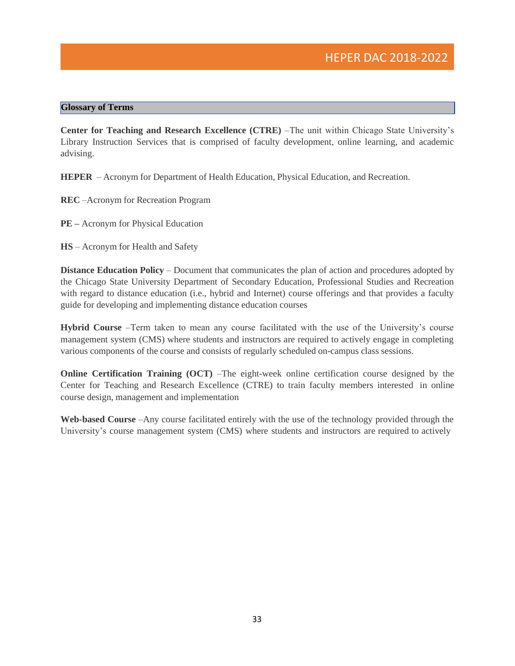#### **Glossary of Terms**

**Center for Teaching and Research Excellence (CTRE)** –The unit within Chicago State University's Library Instruction Services that is comprised of faculty development, online learning, and academic advising.

**HEPER** – Acronym for Department of Health Education, Physical Education, and Recreation.

- **REC** –Acronym for Recreation Program
- **PE –** Acronym for Physical Education
- **HS** Acronym for Health and Safety

**Distance Education Policy** – Document that communicates the plan of action and procedures adopted by the Chicago State University Department of Secondary Education, Professional Studies and Recreation with regard to distance education (i.e., hybrid and Internet) course offerings and that provides a faculty guide for developing and implementing distance education courses

**Hybrid Course** –Term taken to mean any course facilitated with the use of the University's course management system (CMS) where students and instructors are required to actively engage in completing various components of the course and consists of regularly scheduled on-campus class sessions.

**Online Certification Training (OCT)** –The eight-week online certification course designed by the Center for Teaching and Research Excellence (CTRE) to train faculty members interested in online course design, management and implementation

**Web-based Course** –Any course facilitated entirely with the use of the technology provided through the University's course management system (CMS) where students and instructors are required to actively